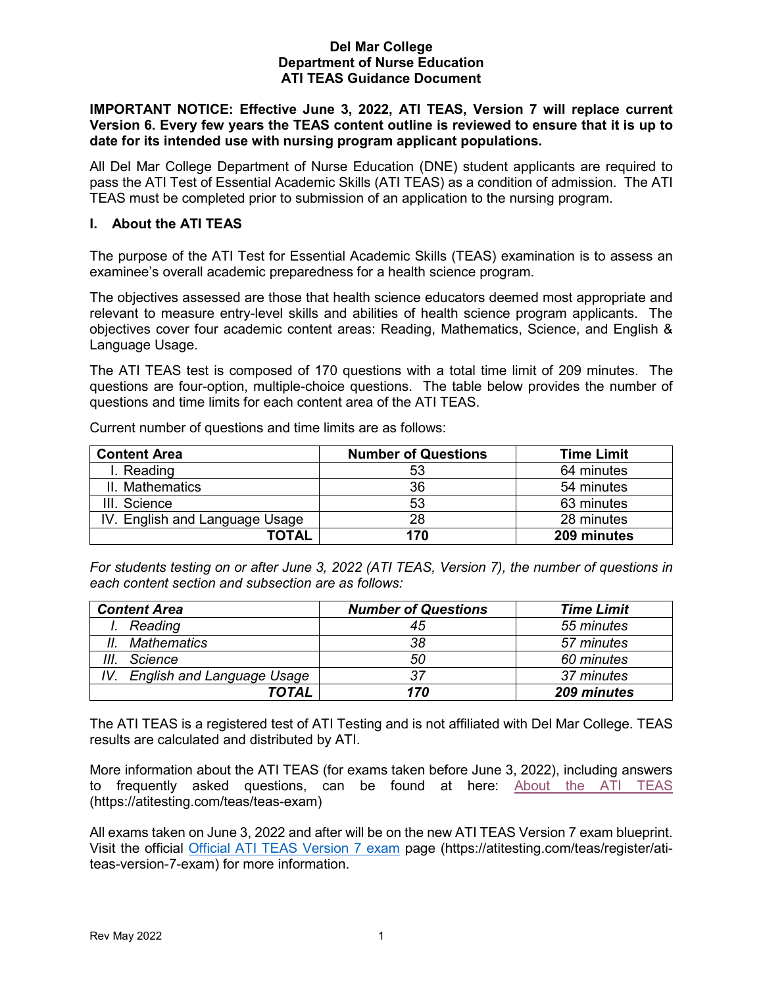#### **Del Mar College Department of Nurse Education ATI TEAS Guidance Document**

#### **IMPORTANT NOTICE: Effective June 3, 2022, ATI TEAS, Version 7 will replace current Version 6. Every few years the TEAS content outline is reviewed to ensure that it is up to date for its intended use with nursing program applicant populations.**

All Del Mar College Department of Nurse Education (DNE) student applicants are required to pass the ATI Test of Essential Academic Skills (ATI TEAS) as a condition of admission. The ATI TEAS must be completed prior to submission of an application to the nursing program.

#### **I. About the ATI TEAS**

The purpose of the ATI Test for Essential Academic Skills (TEAS) examination is to assess an examinee's overall academic preparedness for a health science program.

The objectives assessed are those that health science educators deemed most appropriate and relevant to measure entry-level skills and abilities of health science program applicants. The objectives cover four academic content areas: Reading, Mathematics, Science, and English & Language Usage.

The ATI TEAS test is composed of 170 questions with a total time limit of 209 minutes. The questions are four-option, multiple-choice questions. The table below provides the number of questions and time limits for each content area of the ATI TEAS.

| <b>Content Area</b>            | <b>Number of Questions</b> | <b>Time Limit</b> |
|--------------------------------|----------------------------|-------------------|
| I. Reading                     | 53                         | 64 minutes        |
| II. Mathematics                | 36                         | 54 minutes        |
| III. Science                   | 53                         | 63 minutes        |
| IV. English and Language Usage | 28                         | 28 minutes        |
| <b>TOTAL</b>                   | 170                        | 209 minutes       |

Current number of questions and time limits are as follows:

*For students testing on or after June 3, 2022 (ATI TEAS, Version 7), the number of questions in each content section and subsection are as follows:*

| <b>Content Area</b>                      | <b>Number of Questions</b> | <b>Time Limit</b> |
|------------------------------------------|----------------------------|-------------------|
| Reading                                  | 45                         | 55 minutes        |
| <b>Mathematics</b><br>11.                | 38                         | 57 minutes        |
| Ш.<br>Science                            | 50                         | 60 minutes        |
| <b>English and Language Usage</b><br>IV. | 37                         | 37 minutes        |
| TOTAL                                    | 170                        | 209 minutes       |

The ATI TEAS is a registered test of ATI Testing and is not affiliated with Del Mar College. TEAS results are calculated and distributed by ATI.

More information about the ATI TEAS (for exams taken before June 3, 2022), including answers to frequently asked questions, can be found at here: **[About the ATI TEAS](https://atitesting.com/teas-exam.aspx)** (https://atitesting.com/teas/teas-exam)

All exams taken on June 3, 2022 and after will be on the new ATI TEAS Version 7 exam blueprint. Visit the official [Official ATI TEAS Version 7 exam](https://atitesting.com/teas/register/ati-teas-version-7-exam) page (https://atitesting.com/teas/register/atiteas-version-7-exam) for more information.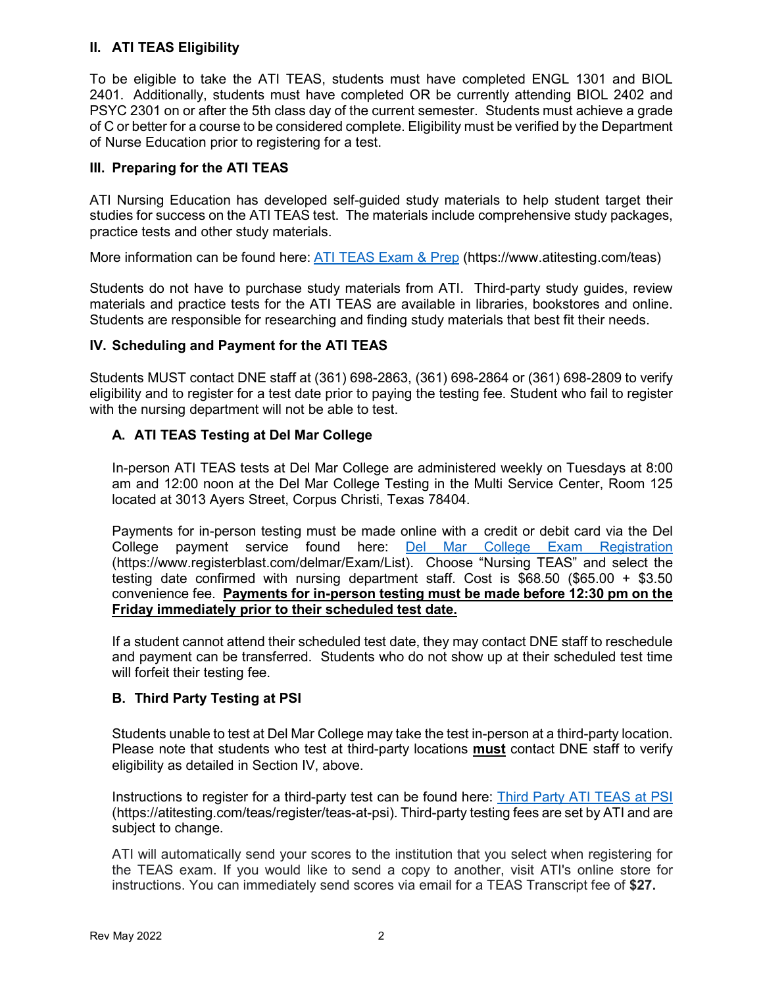# **II. ATI TEAS Eligibility**

To be eligible to take the ATI TEAS, students must have completed ENGL 1301 and BIOL 2401. Additionally, students must have completed OR be currently attending BIOL 2402 and PSYC 2301 on or after the 5th class day of the current semester. Students must achieve a grade of C or better for a course to be considered complete. Eligibility must be verified by the Department of Nurse Education prior to registering for a test.

## **III. Preparing for the ATI TEAS**

ATI Nursing Education has developed self-guided study materials to help student target their studies for success on the ATI TEAS test. The materials include comprehensive study packages, practice tests and other study materials.

More information can be found here: [ATI TEAS Exam & Prep](https://www.atitesting.com/teas) (https://www.atitesting.com/teas)

Students do not have to purchase study materials from ATI. Third-party study guides, review materials and practice tests for the ATI TEAS are available in libraries, bookstores and online. Students are responsible for researching and finding study materials that best fit their needs.

#### **IV. Scheduling and Payment for the ATI TEAS**

Students MUST contact DNE staff at (361) 698-2863, (361) 698-2864 or (361) 698-2809 to verify eligibility and to register for a test date prior to paying the testing fee. Student who fail to register with the nursing department will not be able to test.

## **A. ATI TEAS Testing at Del Mar College**

In-person ATI TEAS tests at Del Mar College are administered weekly on Tuesdays at 8:00 am and 12:00 noon at the Del Mar College Testing in the Multi Service Center, Room 125 located at 3013 Ayers Street, Corpus Christi, Texas 78404.

Payments for in-person testing must be made online with a credit or debit card via the Del College payment service found here: **[Del Mar College Exam Registration](https://www.registerblast.com/delmar/Exam/List)** (https://www.registerblast.com/delmar/Exam/List). Choose "Nursing TEAS" and select the testing date confirmed with nursing department staff. Cost is \$68.50 (\$65.00 + \$3.50 convenience fee. **Payments for in-person testing must be made before 12:30 pm on the Friday immediately prior to their scheduled test date.**

If a student cannot attend their scheduled test date, they may contact DNE staff to reschedule and payment can be transferred. Students who do not show up at their scheduled test time will forfeit their testing fee.

#### **B. Third Party Testing at PSI**

Students unable to test at Del Mar College may take the test in-person at a third-party location. Please note that students who test at third-party locations **must** contact DNE staff to verify eligibility as detailed in Section IV, above.

Instructions to register for a third-party test can be found here: [Third Party ATI TEAS at PSI](https://atitesting.com/teas/register/teas-at-psi) (https://atitesting.com/teas/register/teas-at-psi). Third-party testing fees are set by ATI and are subject to change.

ATI will automatically send your scores to the institution that you select when registering for the TEAS exam. If you would like to send a copy to another, visit ATI's online store for instructions. You can immediately send scores via email for a TEAS Transcript fee of **\$27.**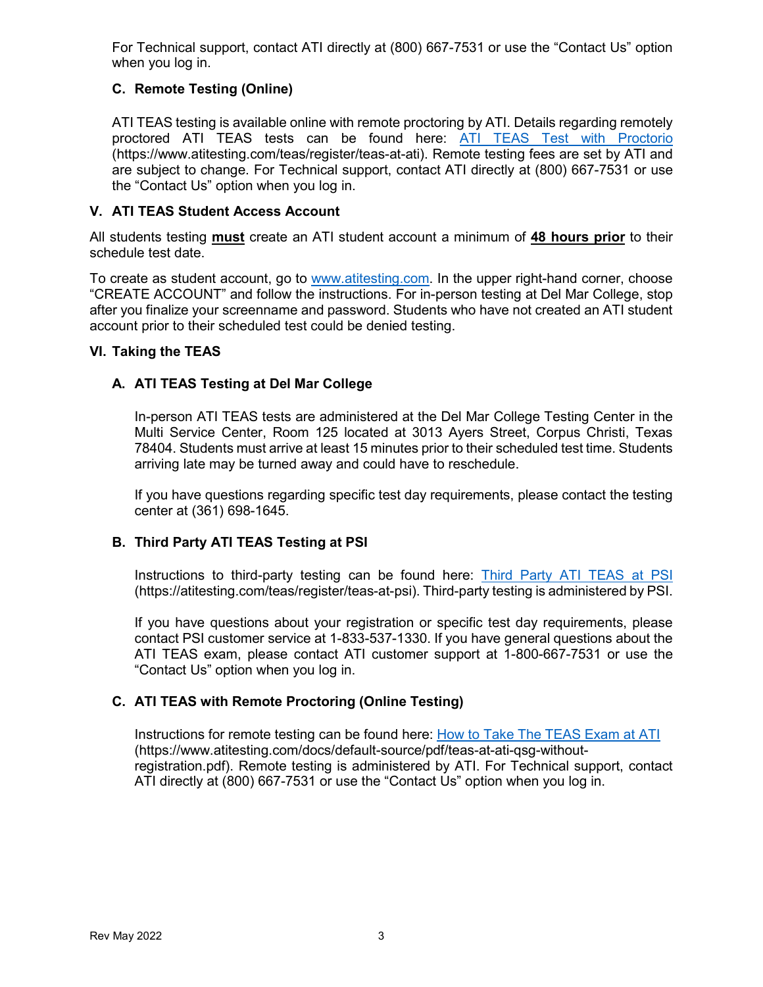For Technical support, contact ATI directly at (800) 667-7531 or use the "Contact Us" option when you log in.

# **C. Remote Testing (Online)**

ATI TEAS testing is available online with remote proctoring by ATI. Details regarding remotely proctored ATI TEAS tests can be found here: [ATI TEAS Test with Proctorio](https://www.atitesting.com/teas/register/teas-at-ati) (https://www.atitesting.com/teas/register/teas-at-ati). Remote testing fees are set by ATI and are subject to change. For Technical support, contact ATI directly at (800) 667-7531 or use the "Contact Us" option when you log in.

## **V. ATI TEAS Student Access Account**

All students testing **must** create an ATI student account a minimum of **48 hours prior** to their schedule test date.

To create as student account, go to [www.atitesting.com.](http://www.atitesting.com/) In the upper right-hand corner, choose "CREATE ACCOUNT" and follow the instructions. For in-person testing at Del Mar College, stop after you finalize your screenname and password. Students who have not created an ATI student account prior to their scheduled test could be denied testing.

## **VI. Taking the TEAS**

# **A. ATI TEAS Testing at Del Mar College**

In-person ATI TEAS tests are administered at the Del Mar College Testing Center in the Multi Service Center, Room 125 located at 3013 Ayers Street, Corpus Christi, Texas 78404. Students must arrive at least 15 minutes prior to their scheduled test time. Students arriving late may be turned away and could have to reschedule.

If you have questions regarding specific test day requirements, please contact the testing center at (361) 698-1645.

## **B. Third Party ATI TEAS Testing at PSI**

Instructions to third-party testing can be found here: [Third Party ATI TEAS at PSI](https://atitesting.com/teas/register/teas-at-psi) (https://atitesting.com/teas/register/teas-at-psi). Third-party testing is administered by PSI.

If you have questions about your registration or specific test day requirements, please contact PSI customer service at 1-833-537-1330. If you have general questions about the ATI TEAS exam, please contact ATI customer support at 1-800-667-7531 or use the "Contact Us" option when you log in.

## **C. ATI TEAS with Remote Proctoring (Online Testing)**

Instructions for remote testing can be found here: [How to Take The TEAS Exam at ATI](https://www.atitesting.com/docs/default-source/pdf/teas-at-ati-qsg-without-registration.pdf)  (https://www.atitesting.com/docs/default-source/pdf/teas-at-ati-qsg-withoutregistration.pdf). Remote testing is administered by ATI. For Technical support, contact ATI directly at (800) 667-7531 or use the "Contact Us" option when you log in.